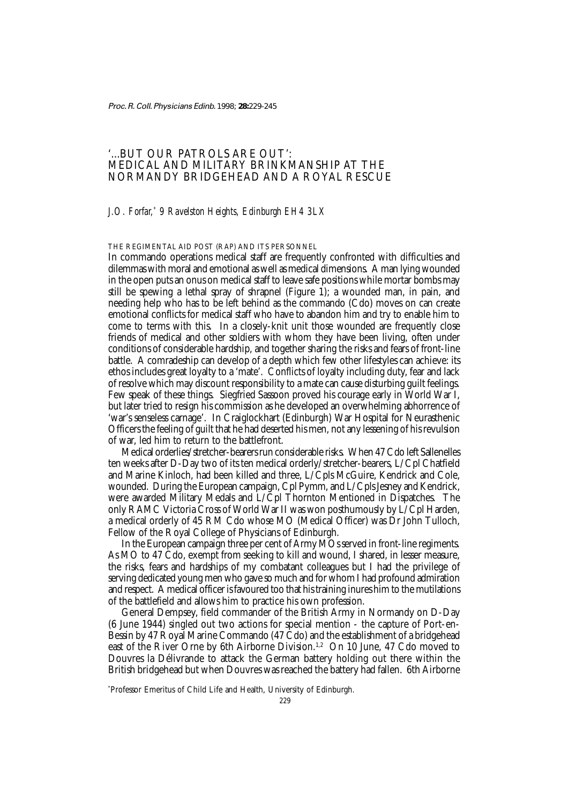Proc. R. Coll. Physicians Edinb. 1998; **28:**229-245

# '...BUT OUR PATROLS ARE OUT': MEDICAL AND MILITARY BRINKMANSHIP AT THE NORMANDY BRIDGEHEAD AND A ROYAL RESCUE

# *J.O. Forfar,\* 9 Ravelston Heights, Edinburgh EH4 3LX*

# THE REGIMENTAL AID POST (RAP) AND ITS PERSONNEL

In commando operations medical staff are frequently confronted with difficulties and dilemmas with moral and emotional as well as medical dimensions. A man lying wounded in the open puts an onus on medical staff to leave safe positions while mortar bombs may still be spewing a lethal spray of shrapnel (Figure 1); a wounded man, in pain, and needing help who has to be left behind as the commando (Cdo) moves on can create emotional conflicts for medical staff who have to abandon him and try to enable him to come to terms with this. In a closely-knit unit those wounded are frequently close friends of medical and other soldiers with whom they have been living, often under conditions of considerable hardship, and together sharing the risks and fears of front-line battle. A comradeship can develop of a depth which few other lifestyles can achieve: its ethos includes great loyalty to a 'mate'. Conflicts of loyalty including duty, fear and lack of resolve which may discount responsibility to a mate can cause disturbing guilt feelings. Few speak of these things. Siegfried Sassoon proved his courage early in World War I, but later tried to resign his commission as he developed an overwhelming abhorrence of 'war's senseless carnage'. In Craiglockhart (Edinburgh) War Hospital for Neurasthenic Officers the feeling of guilt that he had deserted his men, not any lessening of his revulsion of war, led him to return to the battlefront.

Medical orderlies/stretcher-bearers run considerable risks. When 47 Cdo left Sallenelles ten weeks after D-Day two of its ten medical orderly/stretcher-bearers, L/Cpl Chatfield and Marine Kinloch, had been killed and three, L/Cpls McGuire, Kendrick and Cole, wounded. During the European campaign, Cpl Pymm, and L/Cpls Jesney and Kendrick, were awarded Military Medals and L/Cpl Thornton Mentioned in Dispatches. The only RAMC Victoria Cross of World War II was won posthumously by L/Cpl Harden, a medical orderly of 45 RM Cdo whose MO (Medical Officer) was Dr John Tulloch, Fellow of the Royal College of Physicians of Edinburgh.

In the European campaign three per cent of Army MOs served in front-line regiments. As MO to 47 Cdo, exempt from seeking to kill and wound, I shared, in lesser measure, the risks, fears and hardships of my combatant colleagues but I had the privilege of serving dedicated young men who gave so much and for whom I had profound admiration and respect. A medical officer is favoured too that his training inures him to the mutilations of the battlefield and allows him to practice his own profession.

General Dempsey, field commander of the British Army in Normandy on D-Day (6 June 1944) singled out two actions for special mention - the capture of Port-en-Bessin by 47 Royal Marine Commando (47 Cdo) and the establishment of a bridgehead east of the River Orne by 6th Airborne Division.<sup>1,2</sup> On 10 June, 47 Cdo moved to Douvres la Délivrande to attack the German battery holding out there within the British bridgehead but when Douvres was reached the battery had fallen. 6th Airborne

\* Professor Emeritus of Child Life and Health, University of Edinburgh.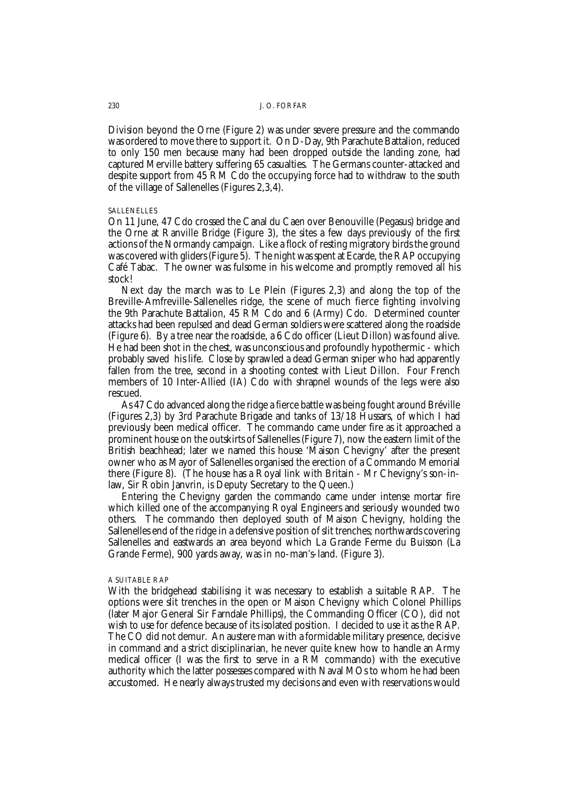Division beyond the Orne (Figure 2) was under severe pressure and the commando was ordered to move there to support it. On D-Day, 9th Parachute Battalion, reduced to only 150 men because many had been dropped outside the landing zone, had captured Merville battery suffering 65 casualties. The Germans counter-attacked and despite support from 45 RM Cdo the occupying force had to withdraw to the south of the village of Sallenelles (Figures 2,3,4).

#### SALLENELLES

On 11 June, 47 Cdo crossed the Canal du Caen over Benouville (Pegasus) bridge and the Orne at Ranville Bridge (Figure 3), the sites a few days previously of the first actions of the Normandy campaign. Like a flock of resting migratory birds the ground was covered with gliders (Figure 5). The night was spent at Ecarde, the RAP occupying Café Tabac. The owner was fulsome in his welcome and promptly removed all his stock!

Next day the march was to Le Plein (Figures 2,3) and along the top of the Breville-Amfreville-Sallenelles ridge, the scene of much fierce fighting involving the 9th Parachute Battalion, 45 RM Cdo and 6 (Army) Cdo. Determined counter attacks had been repulsed and dead German soldiers were scattered along the roadside (Figure 6). By a tree near the roadside, a 6 Cdo officer (Lieut Dillon) was found alive. He had been shot in the chest, was unconscious and profoundly hypothermic - which probably saved his life. Close by sprawled a dead German sniper who had apparently fallen from the tree, second in a shooting contest with Lieut Dillon. Four French members of 10 Inter-Allied (IA) Cdo with shrapnel wounds of the legs were also rescued.

As 47 Cdo advanced along the ridge a fierce battle was being fought around Bréville (Figures 2,3) by 3rd Parachute Brigade and tanks of 13/18 Hussars, of which I had previously been medical officer. The commando came under fire as it approached a prominent house on the outskirts of Sallenelles (Figure 7), now the eastern limit of the British beachhead; later we named this house 'Maison Chevigny' after the present owner who as Mayor of Sallenelles organised the erection of a Commando Memorial there (Figure 8). (The house has a Royal link with Britain - Mr Chevigny's son-inlaw, Sir Robin Janvrin, is Deputy Secretary to the Queen.)

Entering the Chevigny garden the commando came under intense mortar fire which killed one of the accompanying Royal Engineers and seriously wounded two others. The commando then deployed south of Maison Chevigny, holding the Sallenelles end of the ridge in a defensive position of slit trenches; northwards covering Sallenelles and eastwards an area beyond which La Grande Ferme du Buisson (La Grande Ferme), 900 yards away, was in no-man's-land. (Figure 3).

### A SUITABLE RAP

With the bridgehead stabilising it was necessary to establish a suitable RAP. The options were slit trenches in the open or Maison Chevigny which Colonel Phillips (later Major General Sir Farndale Phillips), the Commanding Officer (CO), did not wish to use for defence because of its isolated position. I decided to use it as the RAP. The CO did not demur. An austere man with a formidable military presence, decisive in command and a strict disciplinarian, he never quite knew how to handle an Army medical officer (I was the first to serve in a RM commando) with the executive authority which the latter possesses compared with Naval MOs to whom he had been accustomed. He nearly always trusted my decisions and even with reservations would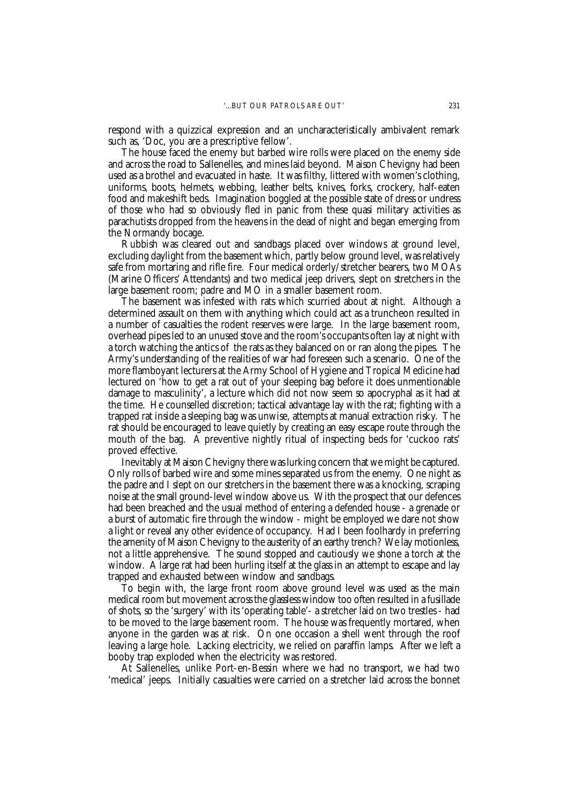respond with a quizzical expression and an uncharacteristically ambivalent remark such as, 'Doc, you are a prescriptive fellow'.

The house faced the enemy but barbed wire rolls were placed on the enemy side and across the road to Sallenelles, and mines laid beyond. Maison Chevigny had been used as a brothel and evacuated in haste. It was filthy, littered with women's clothing, uniforms, boots, helmets, webbing, leather belts, knives, forks, crockery, half-eaten food and makeshift beds. Imagination boggled at the possible state of dress or undress of those who had so obviously fled in panic from these quasi military activities as parachutists dropped from the heavens in the dead of night and began emerging from the Normandy bocage.

Rubbish was cleared out and sandbags placed over windows at ground level, excluding daylight from the basement which, partly below ground level, was relatively safe from mortaring and rifle fire. Four medical orderly/stretcher bearers, two MOAs (Marine Officers' Attendants) and two medical jeep drivers, slept on stretchers in the large basement room; padre and MO in a smaller basement room.

The basement was infested with rats which scurried about at night. Although a determined assault on them with anything which could act as a truncheon resulted in a number of casualties the rodent reserves were large. In the large basement room, overhead pipes led to an unused stove and the room's occupants often lay at night with a torch watching the antics of the rats as they balanced on or ran along the pipes. The Army's understanding of the realities of war had foreseen such a scenario. One of the more flamboyant lecturers at the Army School of Hygiene and Tropical Medicine had lectured on 'how to get a rat out of your sleeping bag before it does unmentionable damage to masculinity', a lecture which did not now seem so apocryphal as it had at the time. He counselled discretion; tactical advantage lay with the rat; fighting with a trapped rat inside a sleeping bag was unwise, attempts at manual extraction risky. The rat should be encouraged to leave quietly by creating an easy escape route through the mouth of the bag. A preventive nightly ritual of inspecting beds for 'cuckoo rats' proved effective.

Inevitably at Maison Chevigny there was lurking concern that we might be captured. Only rolls of barbed wire and some mines separated us from the enemy. One night as the padre and I slept on our stretchers in the basement there was a knocking, scraping noise at the small ground-level window above us. With the prospect that our defences had been breached and the usual method of entering a defended house - a grenade or a burst of automatic fire through the window - might be employed we dare not show a light or reveal any other evidence of occupancy. Had I been foolhardy in preferring the amenity of Maison Chevigny to the austerity of an earthy trench? We lay motionless, not a little apprehensive. The sound stopped and cautiously we shone a torch at the window. A large rat had been hurling itself at the glass in an attempt to escape and lay trapped and exhausted between window and sandbags.

To begin with, the large front room above ground level was used as the main medical room but movement across the glassless window too often resulted in a fusillade of shots, so the 'surgery' with its 'operating table'- a stretcher laid on two trestles - had to be moved to the large basement room. The house was frequently mortared, when anyone in the garden was at risk. On one occasion a shell went through the roof leaving a large hole. Lacking electricity, we relied on paraffin lamps. After we left a booby trap exploded when the electricity was restored.

At Sallenelles, unlike Port-en-Bessin where we had no transport, we had two 'medical' jeeps. Initially casualties were carried on a stretcher laid across the bonnet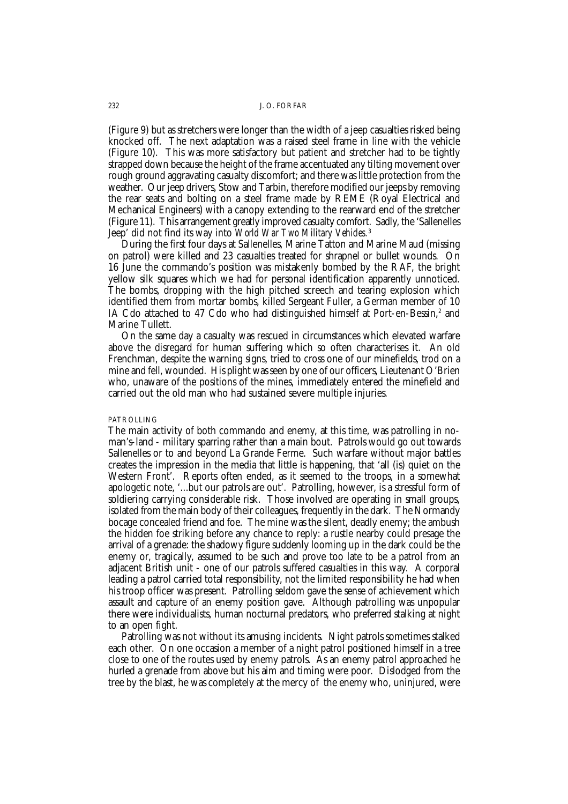(Figure 9) but as stretchers were longer than the width of a jeep casualties risked being knocked off. The next adaptation was a raised steel frame in line with the vehicle (Figure 10). This was more satisfactory but patient and stretcher had to be tightly strapped down because the height of the frame accentuated any tilting movement over rough ground aggravating casualty discomfort; and there was little protection from the weather. Our jeep drivers, Stow and Tarbin, therefore modified our jeeps by removing the rear seats and bolting on a steel frame made by REME (Royal Electrical and Mechanical Engineers) with a canopy extending to the rearward end of the stretcher (Figure 11). This arrangement greatly improved casualty comfort. Sadly, the 'Sallenelles Jeep' did not find its way into *World War Two Military Vehicles.*<sup>3</sup>

During the first four days at Sallenelles, Marine Tatton and Marine Maud (missing on patrol) were killed and 23 casualties treated for shrapnel or bullet wounds. On 16 June the commando's position was mistakenly bombed by the RAF, the bright yellow silk squares which we had for personal identification apparently unnoticed. The bombs, dropping with the high pitched screech and tearing explosion which identified them from mortar bombs, killed Sergeant Fuller, a German member of 10 IA Cdo attached to 47 Cdo who had distinguished himself at Port-en-Bessin,<sup>2</sup> and Marine Tullett.

On the same day a casualty was rescued in circumstances which elevated warfare above the disregard for human suffering which so often characterises it. An old Frenchman, despite the warning signs, tried to cross one of our minefields, trod on a mine and fell, wounded. His plight was seen by one of our officers, Lieutenant O'Brien who, unaware of the positions of the mines, immediately entered the minefield and carried out the old man who had sustained severe multiple injuries.

### PATROLLING

The main activity of both commando and enemy, at this time, was patrolling in noman's-land - military sparring rather than a main bout. Patrols would go out towards Sallenelles or to and beyond La Grande Ferme. Such warfare without major battles creates the impression in the media that little is happening, that 'all (is) quiet on the Western Front'. Reports often ended, as it seemed to the troops, in a somewhat apologetic note, '...but our patrols are out'. Patrolling, however, is a stressful form of soldiering carrying considerable risk. Those involved are operating in small groups, isolated from the main body of their colleagues, frequently in the dark. The Normandy bocage concealed friend and foe. The mine was the silent, deadly enemy; the ambush the hidden foe striking before any chance to reply: a rustle nearby could presage the arrival of a grenade: the shadowy figure suddenly looming up in the dark could be the enemy or, tragically, assumed to be such and prove too late to be a patrol from an adjacent British unit - one of our patrols suffered casualties in this way. A corporal leading a patrol carried total responsibility, not the limited responsibility he had when his troop officer was present. Patrolling seldom gave the sense of achievement which assault and capture of an enemy position gave. Although patrolling was unpopular there were individualists, human nocturnal predators, who preferred stalking at night to an open fight.

Patrolling was not without its amusing incidents. Night patrols sometimes stalked each other. On one occasion a member of a night patrol positioned himself in a tree close to one of the routes used by enemy patrols. As an enemy patrol approached he hurled a grenade from above but his aim and timing were poor. Dislodged from the tree by the blast, he was completely at the mercy of the enemy who, uninjured, were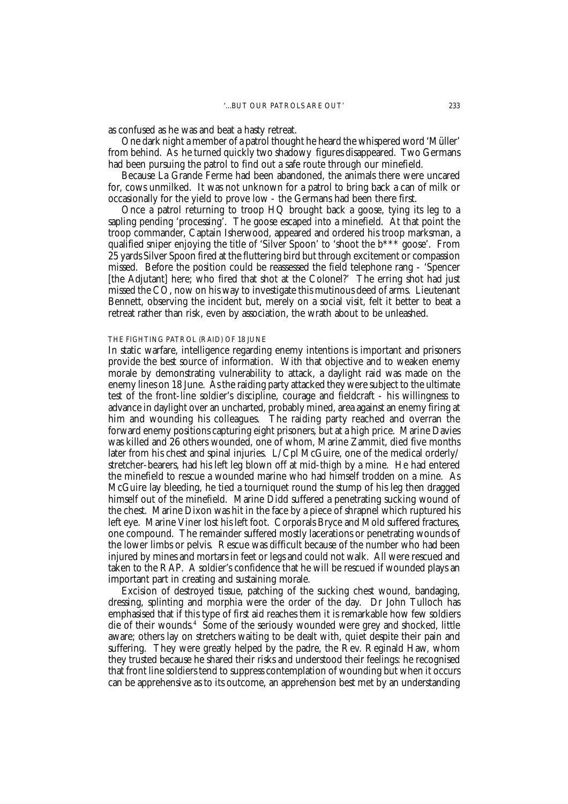as confused as he was and beat a hasty retreat.

One dark night a member of a patrol thought he heard the whispered word 'Müller' from behind. As he turned quickly two shadowy figures disappeared. Two Germans had been pursuing the patrol to find out a safe route through our minefield.

Because La Grande Ferme had been abandoned, the animals there were uncared for, cows unmilked. It was not unknown for a patrol to bring back a can of milk or occasionally for the yield to prove low - the Germans had been there first.

Once a patrol returning to troop HQ brought back a goose, tying its leg to a sapling pending 'processing'. The goose escaped into a minefield. At that point the troop commander, Captain Isherwood, appeared and ordered his troop marksman, a qualified sniper enjoying the title of 'Silver Spoon' to 'shoot the b\*\*\* goose'. From 25 yards Silver Spoon fired at the fluttering bird but through excitement or compassion missed. Before the position could be reassessed the field telephone rang - 'Spencer [the Adjutant] here; who fired that shot at the Colonel?' The erring shot had just missed the CO, now on his way to investigate this mutinous deed of arms. Lieutenant Bennett, observing the incident but, merely on a social visit, felt it better to beat a retreat rather than risk, even by association, the wrath about to be unleashed.

### THE FIGHTING PATROL (RAID) OF 18 JUNE

In static warfare, intelligence regarding enemy intentions is important and prisoners provide the best source of information. With that objective and to weaken enemy morale by demonstrating vulnerability to attack, a daylight raid was made on the enemy lines on 18 June. As the raiding party attacked they were subject to the ultimate test of the front-line soldier's discipline, courage and fieldcraft - his willingness to advance in daylight over an uncharted, probably mined, area against an enemy firing at him and wounding his colleagues. The raiding party reached and overran the forward enemy positions capturing eight prisoners, but at a high price. Marine Davies was killed and 26 others wounded, one of whom, Marine Zammit, died five months later from his chest and spinal injuries. L/Cpl McGuire, one of the medical orderly/ stretcher-bearers, had his left leg blown off at mid-thigh by a mine. He had entered the minefield to rescue a wounded marine who had himself trodden on a mine. As McGuire lay bleeding, he tied a tourniquet round the stump of his leg then dragged himself out of the minefield. Marine Didd suffered a penetrating sucking wound of the chest. Marine Dixon was hit in the face by a piece of shrapnel which ruptured his left eye. Marine Viner lost his left foot. Corporals Bryce and Mold suffered fractures, one compound. The remainder suffered mostly lacerations or penetrating wounds of the lower limbs or pelvis. Rescue was difficult because of the number who had been injured by mines and mortars in feet or legs and could not walk. All were rescued and taken to the RAP. A soldier's confidence that he will be rescued if wounded plays an important part in creating and sustaining morale.

Excision of destroyed tissue, patching of the sucking chest wound, bandaging, dressing, splinting and morphia were the order of the day. Dr John Tulloch has emphasised that if this type of first aid reaches them it is remarkable how few soldiers die of their wounds.4 Some of the seriously wounded were grey and shocked, little aware; others lay on stretchers waiting to be dealt with, quiet despite their pain and suffering. They were greatly helped by the padre, the Rev. Reginald Haw, whom they trusted because he shared their risks and understood their feelings: he recognised that front line soldiers tend to suppress contemplation of wounding but when it occurs can be apprehensive as to its outcome, an apprehension best met by an understanding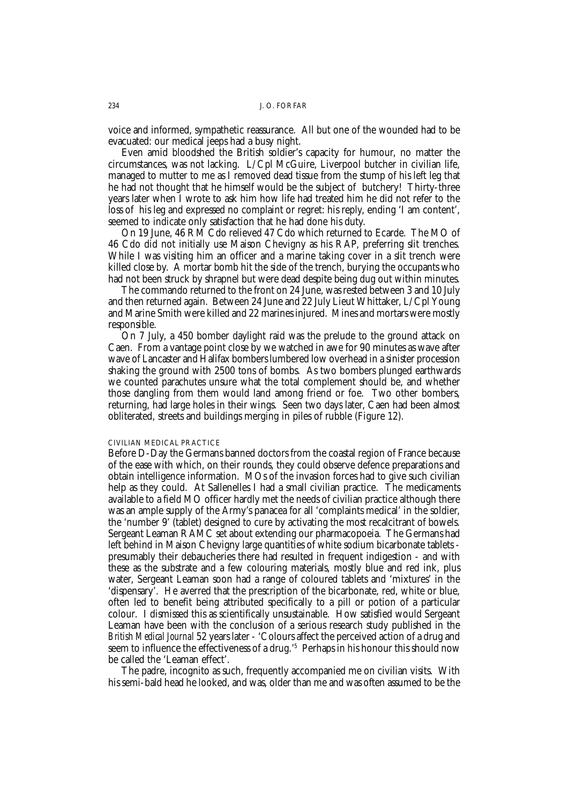voice and informed, sympathetic reassurance. All but one of the wounded had to be evacuated: our medical jeeps had a busy night.

Even amid bloodshed the British soldier's capacity for humour, no matter the circumstances, was not lacking. L/Cpl McGuire, Liverpool butcher in civilian life, managed to mutter to me as I removed dead tissue from the stump of his left leg that he had not thought that he himself would be the subject of butchery! Thirty-three years later when I wrote to ask him how life had treated him he did not refer to the loss of his leg and expressed no complaint or regret: his reply, ending 'I am content', seemed to indicate only satisfaction that he had done his duty.

On 19 June, 46 RM Cdo relieved 47 Cdo which returned to Ecarde. The MO of 46 Cdo did not initially use Maison Chevigny as his RAP, preferring slit trenches. While I was visiting him an officer and a marine taking cover in a slit trench were killed close by. A mortar bomb hit the side of the trench, burying the occupants who had not been struck by shrapnel but were dead despite being dug out within minutes.

The commando returned to the front on 24 June, was rested between 3 and 10 July and then returned again. Between 24 June and 22 July Lieut Whittaker, L/Cpl Young and Marine Smith were killed and 22 marines injured. Mines and mortars were mostly responsible.

On 7 July, a 450 bomber daylight raid was the prelude to the ground attack on Caen. From a vantage point close by we watched in awe for 90 minutes as wave after wave of Lancaster and Halifax bombers lumbered low overhead in a sinister procession shaking the ground with 2500 tons of bombs. As two bombers plunged earthwards we counted parachutes unsure what the total complement should be, and whether those dangling from them would land among friend or foe. Two other bombers, returning, had large holes in their wings. Seen two days later, Caen had been almost obliterated, streets and buildings merging in piles of rubble (Figure 12).

### CIVILIAN MEDICAL PRACTICE

Before D-Day the Germans banned doctors from the coastal region of France because of the ease with which, on their rounds, they could observe defence preparations and obtain intelligence information. MOs of the invasion forces had to give such civilian help as they could. At Sallenelles I had a small civilian practice. The medicaments available to a field MO officer hardly met the needs of civilian practice although there was an ample supply of the Army's panacea for all 'complaints medical' in the soldier, the 'number 9' (tablet) designed to cure by activating the most recalcitrant of bowels. Sergeant Leaman RAMC set about extending our pharmacopoeia. The Germans had left behind in Maison Chevigny large quantities of white sodium bicarbonate tablets presumably their debaucheries there had resulted in frequent indigestion - and with these as the substrate and a few colouring materials, mostly blue and red ink, plus water, Sergeant Leaman soon had a range of coloured tablets and 'mixtures' in the 'dispensary'. He averred that the prescription of the bicarbonate, red, white or blue, often led to benefit being attributed specifically to a pill or potion of a particular colour. I dismissed this as scientifically unsustainable. How satisfied would Sergeant Leaman have been with the conclusion of a serious research study published in the *British Medical Journal* 52 years later - 'Colours affect the perceived action of a drug and seem to influence the effectiveness of a drug.'5 Perhaps in his honour this should now be called the 'Leaman effect'.

The padre, incognito as such, frequently accompanied me on civilian visits. With his semi-bald head he looked, and was, older than me and was often assumed to be the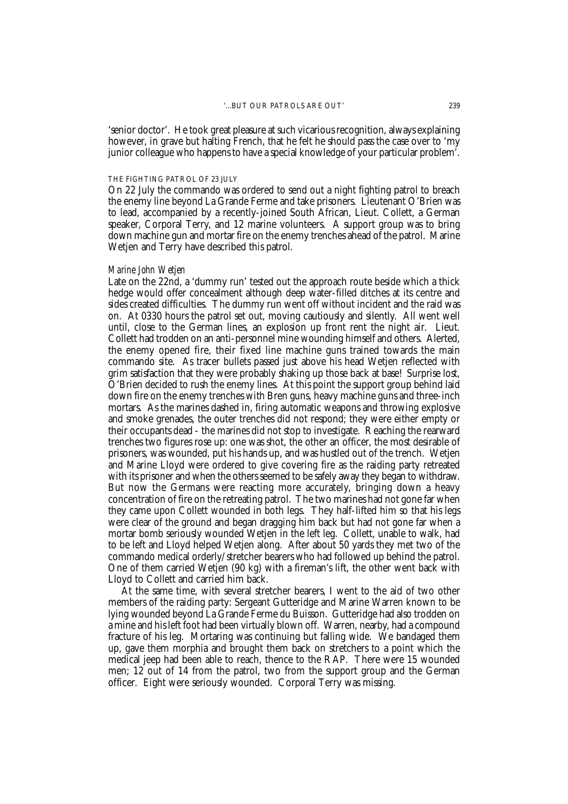'senior doctor'. He took great pleasure at such vicarious recognition, always explaining however, in grave but halting French, that he felt he should pass the case over to 'my junior colleague who happens to have a special knowledge of your particular problem'.

### THE FIGHTING PATROL OF 23 JULY

On 22 July the commando was ordered to send out a night fighting patrol to breach the enemy line beyond La Grande Ferme and take prisoners. Lieutenant O'Brien was to lead, accompanied by a recently-joined South African, Lieut. Collett, a German speaker, Corporal Terry, and 12 marine volunteers. A support group was to bring down machine gun and mortar fire on the enemy trenches ahead of the patrol. Marine Wetjen and Terry have described this patrol.

### *Marine John Wetjen*

Late on the 22nd, a 'dummy run' tested out the approach route beside which a thick hedge would offer concealment although deep water-filled ditches at its centre and sides created difficulties. The dummy run went off without incident and the raid was on. At 0330 hours the patrol set out, moving cautiously and silently. All went well until, close to the German lines, an explosion up front rent the night air. Lieut. Collett had trodden on an anti-personnel mine wounding himself and others. Alerted, the enemy opened fire, their fixed line machine guns trained towards the main commando site. As tracer bullets passed just above his head Wetjen reflected with grim satisfaction that they were probably shaking up those back at base! Surprise lost, O'Brien decided to rush the enemy lines. At this point the support group behind laid down fire on the enemy trenches with Bren guns, heavy machine guns and three-inch mortars. As the marines dashed in, firing automatic weapons and throwing explosive and smoke grenades, the outer trenches did not respond; they were either empty or their occupants dead - the marines did not stop to investigate. Reaching the rearward trenches two figures rose up: one was shot, the other an officer, the most desirable of prisoners, was wounded, put his hands up, and was hustled out of the trench. Wetjen and Marine Lloyd were ordered to give covering fire as the raiding party retreated with its prisoner and when the others seemed to be safely away they began to withdraw. But now the Germans were reacting more accurately, bringing down a heavy concentration of fire on the retreating patrol. The two marines had not gone far when they came upon Collett wounded in both legs. They half-lifted him so that his legs were clear of the ground and began dragging him back but had not gone far when a mortar bomb seriously wounded Wetjen in the left leg. Collett, unable to walk, had to be left and Lloyd helped Wetjen along. After about 50 yards they met two of the commando medical orderly/stretcher bearers who had followed up behind the patrol. One of them carried Wetjen (90 kg) with a fireman's lift, the other went back with Lloyd to Collett and carried him back.

At the same time, with several stretcher bearers, I went to the aid of two other members of the raiding party: Sergeant Gutteridge and Marine Warren known to be lying wounded beyond La Grande Ferme du Buisson. Gutteridge had also trodden on a mine and his left foot had been virtually blown off. Warren, nearby, had a compound fracture of his leg. Mortaring was continuing but falling wide. We bandaged them up, gave them morphia and brought them back on stretchers to a point which the medical jeep had been able to reach, thence to the RAP. There were 15 wounded men; 12 out of 14 from the patrol, two from the support group and the German officer. Eight were seriously wounded. Corporal Terry was missing.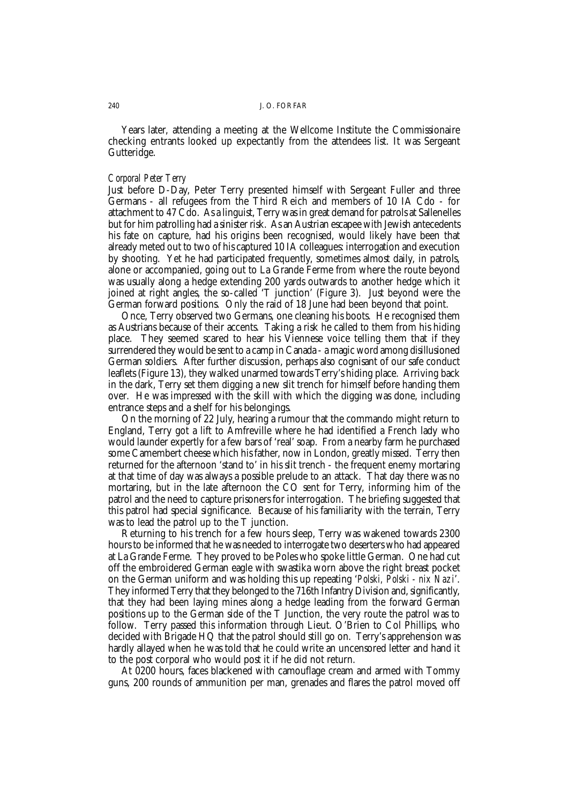Years later, attending a meeting at the Wellcome Institute the Commissionaire checking entrants looked up expectantly from the attendees list. It was Sergeant Gutteridge.

# *Corporal Peter Terry*

Just before D-Day, Peter Terry presented himself with Sergeant Fuller and three Germans - all refugees from the Third Reich and members of 10 IA Cdo - for attachment to 47 Cdo. As a linguist, Terry was in great demand for patrols at Sallenelles but for him patrolling had a sinister risk. As an Austrian escapee with Jewish antecedents his fate on capture, had his origins been recognised, would likely have been that already meted out to two of his captured 10 IA colleagues: interrogation and execution by shooting. Yet he had participated frequently, sometimes almost daily, in patrols, alone or accompanied, going out to La Grande Ferme from where the route beyond was usually along a hedge extending 200 yards outwards to another hedge which it joined at right angles, the so-called 'T junction' (Figure 3). Just beyond were the German forward positions. Only the raid of 18 June had been beyond that point.

Once, Terry observed two Germans, one cleaning his boots. He recognised them as Austrians because of their accents. Taking a risk he called to them from his hiding place. They seemed scared to hear his Viennese voice telling them that if they surrendered they would be sent to a camp in Canada - a magic word among disillusioned German soldiers. After further discussion, perhaps also cognisant of our safe conduct leaflets (Figure 13), they walked unarmed towards Terry's hiding place. Arriving back in the dark, Terry set them digging a new slit trench for himself before handing them over. He was impressed with the skill with which the digging was done, including entrance steps and a shelf for his belongings.

On the morning of 22 July, hearing a rumour that the commando might return to England, Terry got a lift to Amfreville where he had identified a French lady who would launder expertly for a few bars of 'real' soap. From a nearby farm he purchased some Camembert cheese which his father, now in London, greatly missed. Terry then returned for the afternoon 'stand to' in his slit trench - the frequent enemy mortaring at that time of day was always a possible prelude to an attack. That day there was no mortaring, but in the late afternoon the CO sent for Terry, informing him of the patrol and the need to capture prisoners for interrogation. The briefing suggested that this patrol had special significance. Because of his familiarity with the terrain, Terry was to lead the patrol up to the T junction.

Returning to his trench for a few hours sleep, Terry was wakened towards 2300 hours to be informed that he was needed to interrogate two deserters who had appeared at La Grande Ferme. They proved to be Poles who spoke little German. One had cut off the embroidered German eagle with swastika worn above the right breast pocket on the German uniform and was holding this up repeating '*Polski, Polski - nix Nazi*'. They informed Terry that they belonged to the 716th Infantry Division and, significantly, that they had been laying mines along a hedge leading from the forward German positions up to the German side of the T Junction, the very route the patrol was to follow. Terry passed this information through Lieut. O'Brien to Col Phillips, who decided with Brigade HQ that the patrol should still go on. Terry's apprehension was hardly allayed when he was told that he could write an uncensored letter and hand it to the post corporal who would post it if he did not return.

At 0200 hours, faces blackened with camouflage cream and armed with Tommy guns, 200 rounds of ammunition per man, grenades and flares the patrol moved off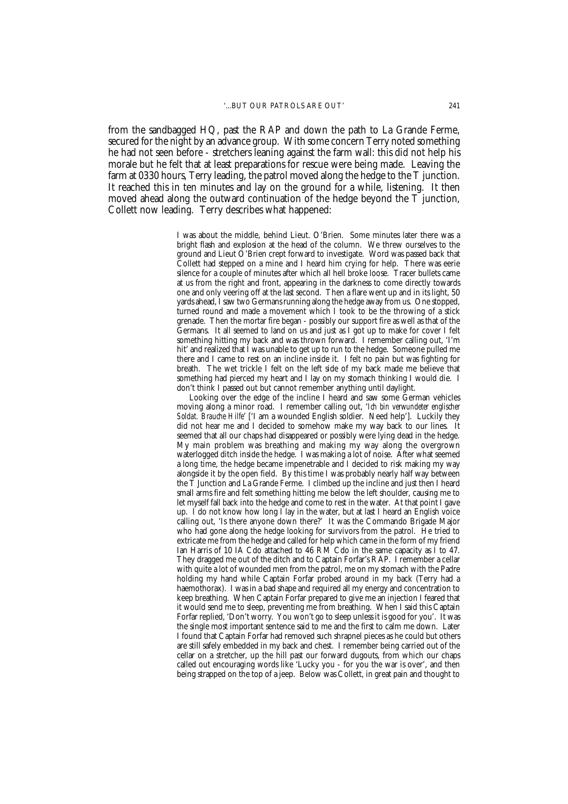from the sandbagged HQ, past the RAP and down the path to La Grande Ferme, secured for the night by an advance group. With some concern Terry noted something he had not seen before - stretchers leaning against the farm wall: this did not help his morale but he felt that at least preparations for rescue were being made. Leaving the farm at 0330 hours, Terry leading, the patrol moved along the hedge to the T junction. It reached this in ten minutes and lay on the ground for a while, listening. It then moved ahead along the outward continuation of the hedge beyond the T junction, Collett now leading. Terry describes what happened:

> I was about the middle, behind Lieut. O'Brien. Some minutes later there was a bright flash and explosion at the head of the column. We threw ourselves to the ground and Lieut O'Brien crept forward to investigate. Word was passed back that Collett had stepped on a mine and I heard him crying for help. There was eerie silence for a couple of minutes after which all hell broke loose. Tracer bullets came at us from the right and front, appearing in the darkness to come directly towards one and only veering off at the last second. Then a flare went up and in its light, 50 yards ahead, I saw two Germans running along the hedge away from us. One stopped, turned round and made a movement which I took to be the throwing of a stick grenade. Then the mortar fire began - possibly our support fire as well as that of the Germans. It all seemed to land on us and just as I got up to make for cover I felt something hitting my back and was thrown forward. I remember calling out, 'I'm hit' and realized that I was unable to get up to run to the hedge. Someone pulled me there and I came to rest on an incline inside it. I felt no pain but was fighting for breath. The wet trickle I felt on the left side of my back made me believe that something had pierced my heart and I lay on my stomach thinking I would die. I don't think I passed out but cannot remember anything until daylight.

> Looking over the edge of the incline I heard and saw some German vehicles moving along a minor road. I remember calling out, '*Ich bin verwundeter englischer Soldat. Brauche Hilfe*' ['I am a wounded English soldier. Need help']. Luckily they did not hear me and I decided to somehow make my way back to our lines. It seemed that all our chaps had disappeared or possibly were lying dead in the hedge. My main problem was breathing and making my way along the overgrown waterlogged ditch inside the hedge. I was making a lot of noise. After what seemed a long time, the hedge became impenetrable and I decided to risk making my way alongside it by the open field. By this time I was probably nearly half way between the T Junction and La Grande Ferme. I climbed up the incline and just then I heard small arms fire and felt something hitting me below the left shoulder, causing me to let myself fall back into the hedge and come to rest in the water. At that point I gave up. I do not know how long  $\bar{I}$  lay in the water, but at last I heard an English voice calling out, 'Is there anyone down there?' It was the Commando Brigade Major who had gone along the hedge looking for survivors from the patrol. He tried to extricate me from the hedge and called for help which came in the form of my friend Ian Harris of 10 IA Cdo attached to 46 RM Cdo in the same capacity as  $\tilde{I}$  to 47. They dragged me out of the ditch and to Captain Forfar's RAP. I remember a cellar with quite a lot of wounded men from the patrol, me on my stomach with the Padre holding my hand while Captain Forfar probed around in my back (Terry had a haemothorax). I was in a bad shape and required all my energy and concentration to keep breathing. When Captain Forfar prepared to give me an injection I feared that it would send me to sleep, preventing me from breathing. When I said this Captain Forfar replied, 'Don't worry. You won't go to sleep unless it is good for you'. It was the single most important sentence said to me and the first to calm me down. Later I found that Captain Forfar had removed such shrapnel pieces as he could but others are still safely embedded in my back and chest. I remember being carried out of the cellar on a stretcher, up the hill past our forward dugouts, from which our chaps called out encouraging words like 'Lucky you - for you the war is over', and then being strapped on the top of a jeep. Below was Collett, in great pain and thought to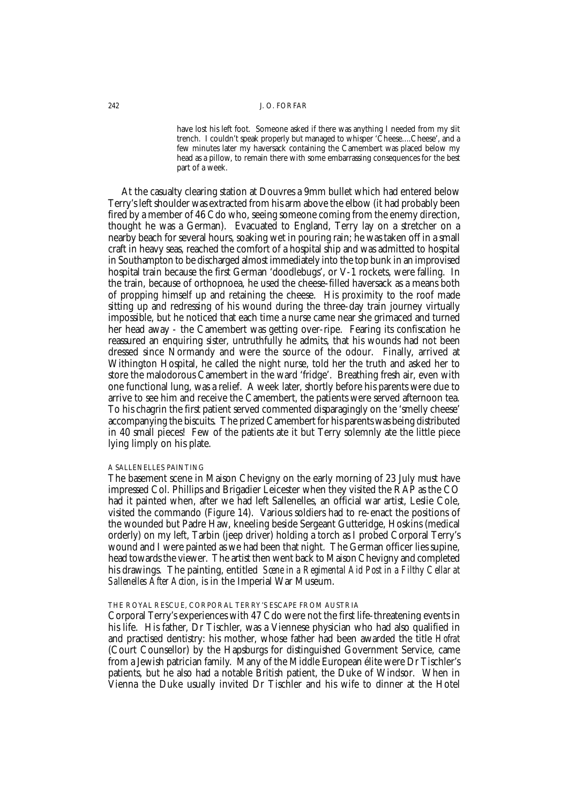have lost his left foot. Someone asked if there was anything I needed from my slit trench. I couldn't speak properly but managed to whisper 'Cheese....Cheese', and a few minutes later my haversack containing the Camembert was placed below my head as a pillow, to remain there with some embarrassing consequences for the best part of a week.

At the casualty clearing station at Douvres a 9mm bullet which had entered below Terry's left shoulder was extracted from his arm above the elbow (it had probably been fired by a member of 46 Cdo who, seeing someone coming from the enemy direction, thought he was a German). Evacuated to England, Terry lay on a stretcher on a nearby beach for several hours, soaking wet in pouring rain; he was taken off in a small craft in heavy seas, reached the comfort of a hospital ship and was admitted to hospital in Southampton to be discharged almost immediately into the top bunk in an improvised hospital train because the first German 'doodlebugs', or V-1 rockets, were falling. In the train, because of orthopnoea, he used the cheese-filled haversack as a means both of propping himself up and retaining the cheese. His proximity to the roof made sitting up and redressing of his wound during the three-day train journey virtually impossible, but he noticed that each time a nurse came near she grimaced and turned her head away - the Camembert was getting over-ripe. Fearing its confiscation he reassured an enquiring sister, untruthfully he admits, that his wounds had not been dressed since Normandy and were the source of the odour. Finally, arrived at Withington Hospital, he called the night nurse, told her the truth and asked her to store the malodorous Camembert in the ward 'fridge'. Breathing fresh air, even with one functional lung, was a relief. A week later, shortly before his parents were due to arrive to see him and receive the Camembert, the patients were served afternoon tea. To his chagrin the first patient served commented disparagingly on the 'smelly cheese' accompanying the biscuits. The prized Camembert for his parents was being distributed in 40 small pieces! Few of the patients ate it but Terry solemnly ate the little piece lying limply on his plate.

### A SALLENELLES PAINTING

The basement scene in Maison Chevigny on the early morning of 23 July must have impressed Col. Phillips and Brigadier Leicester when they visited the RAP as the CO had it painted when, after we had left Sallenelles, an official war artist, Leslie Cole, visited the commando (Figure 14). Various soldiers had to re-enact the positions of the wounded but Padre Haw, kneeling beside Sergeant Gutteridge, Hoskins (medical orderly) on my left, Tarbin (jeep driver) holding a torch as I probed Corporal Terry's wound and I were painted as we had been that night. The German officer lies supine, head towards the viewer. The artist then went back to Maison Chevigny and completed his drawings. The painting, entitled *Scene in a Regimental Aid Post in a Filthy Cellar at Sallenelles After Action*, is in the Imperial War Museum.

### THE ROYAL RESCUE, CORPORAL TERRY'S ESCAPE FROM AUSTRIA

Corporal Terry's experiences with 47 Cdo were not the first life-threatening events in his life. His father, Dr Tischler, was a Viennese physician who had also qualified in and practised dentistry: his mother, whose father had been awarded the title *Hofrat* (Court Counsellor) by the Hapsburgs for distinguished Government Service, came from a Jewish patrician family. Many of the Middle European élite were Dr Tischler's patients, but he also had a notable British patient, the Duke of Windsor. When in Vienna the Duke usually invited Dr Tischler and his wife to dinner at the Hotel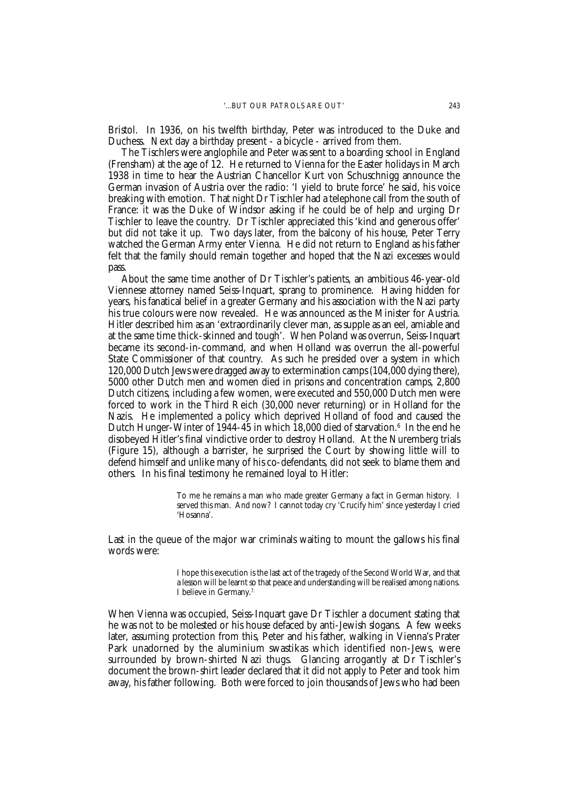Bristol. In 1936, on his twelfth birthday, Peter was introduced to the Duke and Duchess. Next day a birthday present - a bicycle - arrived from them.

The Tischlers were anglophile and Peter was sent to a boarding school in England (Frensham) at the age of 12. He returned to Vienna for the Easter holidays in March 1938 in time to hear the Austrian Chancellor Kurt von Schuschnigg announce the German invasion of Austria over the radio: 'I yield to brute force' he said, his voice breaking with emotion. That night Dr Tischler had a telephone call from the south of France: it was the Duke of Windsor asking if he could be of help and urging Dr Tischler to leave the country. Dr Tischler appreciated this 'kind and generous offer' but did not take it up. Two days later, from the balcony of his house, Peter Terry watched the German Army enter Vienna. He did not return to England as his father felt that the family should remain together and hoped that the Nazi excesses would pass.

About the same time another of Dr Tischler's patients, an ambitious 46-year-old Viennese attorney named Seiss-Inquart, sprang to prominence. Having hidden for years, his fanatical belief in a greater Germany and his association with the Nazi party his true colours were now revealed. He was announced as the Minister for Austria. Hitler described him as an 'extraordinarily clever man, as supple as an eel, amiable and at the same time thick-skinned and tough'. When Poland was overrun, Seiss-Inquart became its second-in-command, and when Holland was overrun the all-powerful State Commissioner of that country. As such he presided over a system in which 120,000 Dutch Jews were dragged away to extermination camps (104,000 dying there), 5000 other Dutch men and women died in prisons and concentration camps, 2,800 Dutch citizens, including a few women, were executed and 550,000 Dutch men were forced to work in the Third Reich (30,000 never returning) or in Holland for the Nazis. He implemented a policy which deprived Holland of food and caused the Dutch Hunger-Winter of 1944-45 in which 18,000 died of starvation. $^{\rm 6}$  In the end he disobeyed Hitler's final vindictive order to destroy Holland. At the Nuremberg trials (Figure 15), although a barrister, he surprised the Court by showing little will to defend himself and unlike many of his co-defendants, did not seek to blame them and others. In his final testimony he remained loyal to Hitler:

> To me he remains a man who made greater Germany a fact in German history. I served this man. And now? I cannot today cry 'Crucify him' since yesterday I cried 'Hosanna'.

Last in the queue of the major war criminals waiting to mount the gallows his final words were:

> I hope this execution is the last act of the tragedy of the Second World War, and that a lesson will be learnt so that peace and understanding will be realised among nations. I believe in Germany.7.

When Vienna was occupied, Seiss-Inquart gave Dr Tischler a document stating that he was not to be molested or his house defaced by anti-Jewish slogans. A few weeks later, assuming protection from this, Peter and his father, walking in Vienna's Prater Park unadorned by the aluminium swastikas which identified non-Jews, were surrounded by brown-shirted Nazi thugs. Glancing arrogantly at Dr Tischler's document the brown-shirt leader declared that it did not apply to Peter and took him away, his father following. Both were forced to join thousands of Jews who had been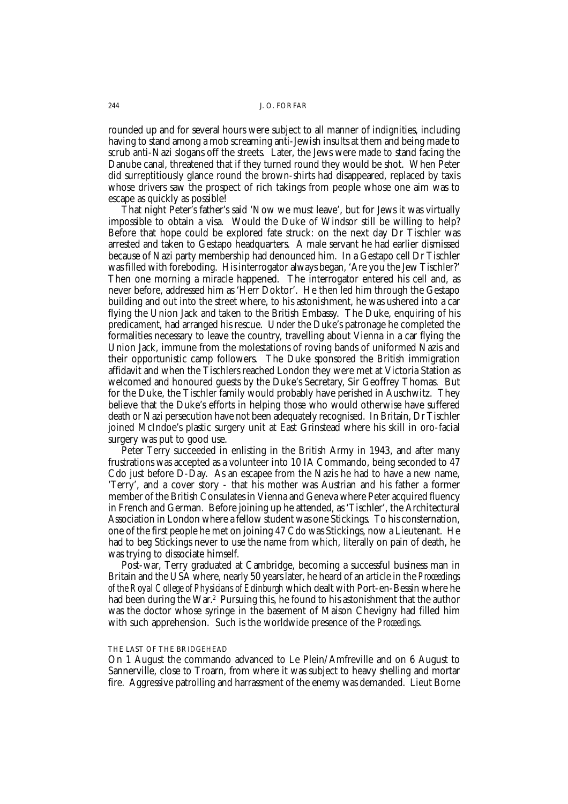rounded up and for several hours were subject to all manner of indignities, including having to stand among a mob screaming anti-Jewish insults at them and being made to scrub anti-Nazi slogans off the streets. Later, the Jews were made to stand facing the Danube canal, threatened that if they turned round they would be shot. When Peter did surreptitiously glance round the brown-shirts had disappeared, replaced by taxis whose drivers saw the prospect of rich takings from people whose one aim was to escape as quickly as possible!

That night Peter's father's said 'Now we must leave', but for Jews it was virtually impossible to obtain a visa. Would the Duke of Windsor still be willing to help? Before that hope could be explored fate struck: on the next day Dr Tischler was arrested and taken to Gestapo headquarters. A male servant he had earlier dismissed because of Nazi party membership had denounced him. In a Gestapo cell Dr Tischler was filled with foreboding. His interrogator always began, 'Are you the Jew Tischler?' Then one morning a miracle happened. The interrogator entered his cell and, as never before, addressed him as 'Herr Doktor'. He then led him through the Gestapo building and out into the street where, to his astonishment, he was ushered into a car flying the Union Jack and taken to the British Embassy. The Duke, enquiring of his predicament, had arranged his rescue. Under the Duke's patronage he completed the formalities necessary to leave the country, travelling about Vienna in a car flying the Union Jack, immune from the molestations of roving bands of uniformed Nazis and their opportunistic camp followers. The Duke sponsored the British immigration affidavit and when the Tischlers reached London they were met at Victoria Station as welcomed and honoured guests by the Duke's Secretary, Sir Geoffrey Thomas. But for the Duke, the Tischler family would probably have perished in Auschwitz. They believe that the Duke's efforts in helping those who would otherwise have suffered death or Nazi persecution have not been adequately recognised. In Britain, Dr Tischler joined McIndoe's plastic surgery unit at East Grinstead where his skill in oro-facial surgery was put to good use.

Peter Terry succeeded in enlisting in the British Army in 1943, and after many frustrations was accepted as a volunteer into 10 IA Commando, being seconded to 47 Cdo just before D-Day. As an escapee from the Nazis he had to have a new name, 'Terry', and a cover story - that his mother was Austrian and his father a former member of the British Consulates in Vienna and Geneva where Peter acquired fluency in French and German. Before joining up he attended, as 'Tischler', the Architectural Association in London where a fellow student was one Stickings. To his consternation, one of the first people he met on joining 47 Cdo was Stickings, now a Lieutenant. He had to beg Stickings never to use the name from which, literally on pain of death, he was trying to dissociate himself.

Post-war, Terry graduated at Cambridge, becoming a successful business man in Britain and the USA where, nearly 50 years later, he heard of an article in the *Proceedings of the Royal College of Physicians of Edinburgh* which dealt with Port-en-Bessin where he had been during the War.<sup>2</sup> Pursuing this, he found to his astonishment that the author was the doctor whose syringe in the basement of Maison Chevigny had filled him with such apprehension. Such is the worldwide presence of the *Proceedings*.

### THE LAST OF THE BRIDGEHEAD

On 1 August the commando advanced to Le Plein/Amfreville and on 6 August to Sannerville, close to Troarn, from where it was subject to heavy shelling and mortar fire. Aggressive patrolling and harrassment of the enemy was demanded. Lieut Borne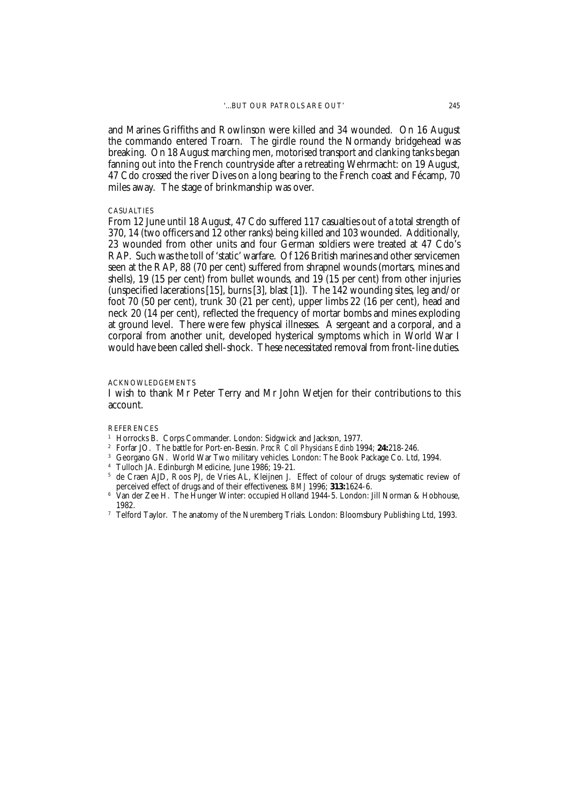and Marines Griffiths and Rowlinson were killed and 34 wounded. On 16 August the commando entered Troarn. The girdle round the Normandy bridgehead was breaking. On 18 August marching men, motorised transport and clanking tanks began fanning out into the French countryside after a retreating Wehrmacht: on 19 August, 47 Cdo crossed the river Dives on a long bearing to the French coast and Fécamp, 70 miles away. The stage of brinkmanship was over.

#### CASUALTIES

From 12 June until 18 August, 47 Cdo suffered 117 casualties out of a total strength of 370, 14 (two officers and 12 other ranks) being killed and 103 wounded. Additionally, 23 wounded from other units and four German soldiers were treated at 47 Cdo's RAP. Such was the toll of 'static' warfare. Of 126 British marines and other servicemen seen at the RAP, 88 (70 per cent) suffered from shrapnel wounds (mortars, mines and shells), 19 (15 per cent) from bullet wounds, and 19 (15 per cent) from other injuries (unspecified lacerations [15], burns [3], blast [1]). The 142 wounding sites, leg and/or foot 70 (50 per cent), trunk 30 (21 per cent), upper limbs 22 (16 per cent), head and neck 20 (14 per cent), reflected the frequency of mortar bombs and mines exploding at ground level. There were few physical illnesses. A sergeant and a corporal, and a corporal from another unit, developed hysterical symptoms which in World War I would have been called shell-shock. These necessitated removal from front-line duties.

### ACKNOWLEDGEMENTS

I wish to thank Mr Peter Terry and Mr John Wetjen for their contributions to this account.

**REFERENCES** 

- <sup>1</sup> Horrocks B. Corps Commander. London: Sidgwick and Jackson, 1977.
- <sup>2</sup> Forfar JO. The battle for Port-en-Bessin. *Proc R Coll Physicians Edinb* 1994; **24:**218-246.
- <sup>3</sup> Georgano GN. World War Two military vehicles. London: The Book Package Co. Ltd, 1994.
- <sup>4</sup> Tulloch JA. Edinburgh Medicine, June 1986; 19-21.<br><sup>5</sup> de Craen AID. Roos PL de Vries AL. Kleijnen J
- <sup>5</sup> de Craen AJD, Roos PJ, de Vries AL, Kleijnen J. Effect of colour of drugs: systematic review of perceived effect of drugs and of their effectiveness. *BMJ* 1996; **313:**1624-6.
- $6\,$  Van der Zee H. The Hunger Winter: occupied Holland 1944-5. London: Jill Norman & Hobhouse, 1982.
- <sup>7</sup> Telford Taylor. The anatomy of the Nuremberg Trials. London: Bloomsbury Publishing Ltd, 1993.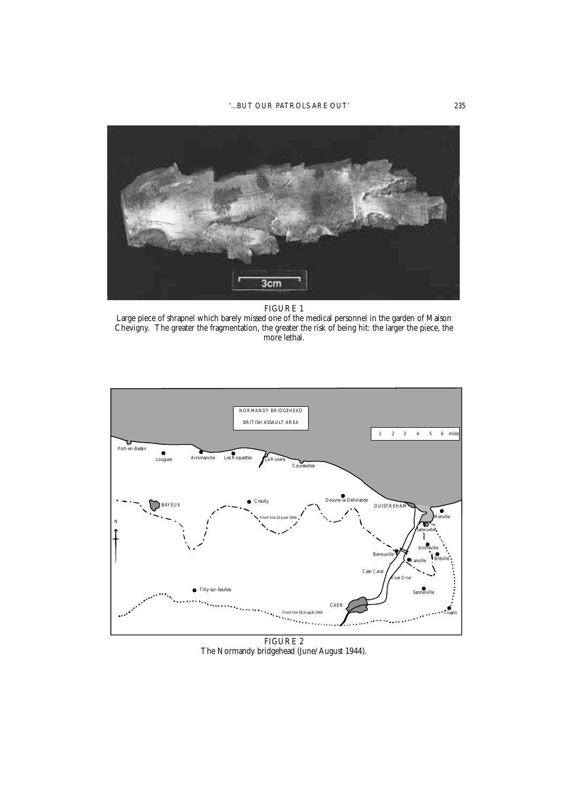# '...BUT OUR PATROLS ARE OUT' 235



### FIGURE 1

Large piece of shrapnel which barely missed one of the medical personnel in the garden of Maison Chevigny. The greater the fragmentation, the greater the risk of being hit: the larger the piece, the more lethal.



FIGURE 2 The Normandy bridgehead (June/August 1944).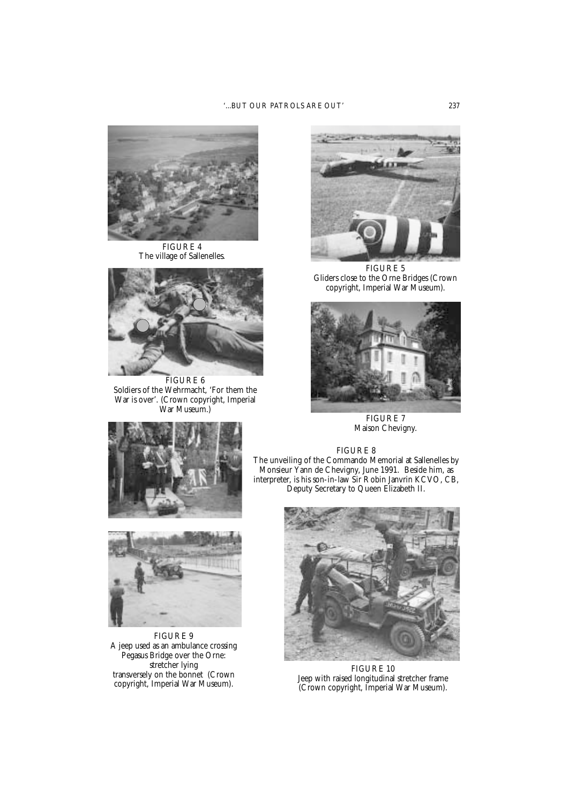# '...BUT OUR PATROLS ARE OUT' 237



FIGURE 4 The village of Sallenelles.



FIGURE 6 Soldiers of the Wehrmacht, 'For them the War is over'. (Crown copyright, Imperial War Museum.)



FIGURE 5 Gliders close to the Orne Bridges (Crown copyright, Imperial War Museum).



FIGURE 7 Maison Chevigny.



FIGURE 9 A jeep used as an ambulance crossing Pegasus Bridge over the Orne: stretcher lying transversely on the bonnet (Crown copyright, Imperial War Museum).





FIGURE 10 Jeep with raised longitudinal stretcher frame (Crown copyright, Imperial War Museum).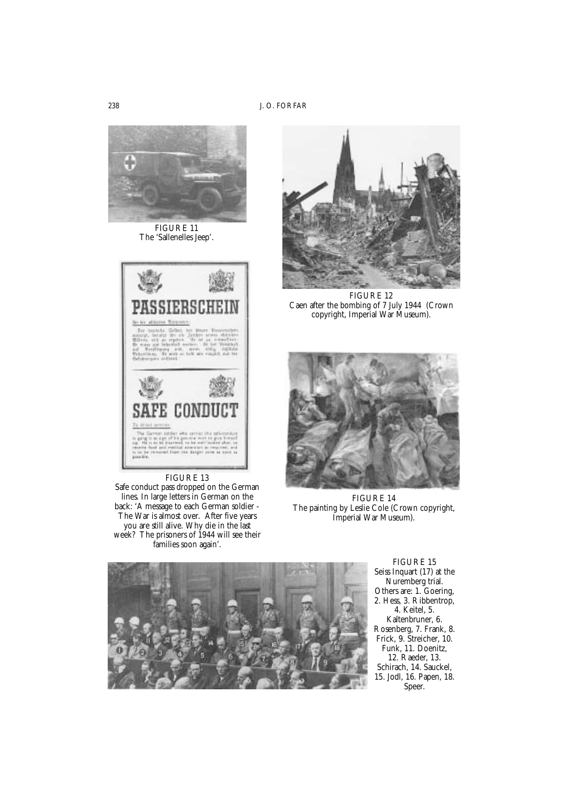

FIGURE 11 The 'Sallenelles Jeep'.



FIGURE 13

Safe conduct pass dropped on the German lines. In large letters in German on the back: 'A message to each German soldier - The War is almost over. After five years you are still alive. Why die in the last week? The prisoners of 1944 will see their families soon again'.



FIGURE 12 Caen after the bombing of 7 July 1944 (Crown copyright, Imperial War Museum).



FIGURE 14 The painting by Leslie Cole (Crown copyright, Imperial War Museum).



FIGURE 15 Seiss Inquart (17) at the Nuremberg trial. Others are: 1. Goering, 2. Hess, 3. Ribbentrop, 4. Keitel, 5. Kaltenbruner, 6. Rosenberg, 7. Frank, 8. Frick, 9. Streicher, 10. Funk, 11. Doenitz, 12. Raeder, 13. Schirach, 14. Sauckel, 15. Jodl, 16. Papen, 18. Speer.